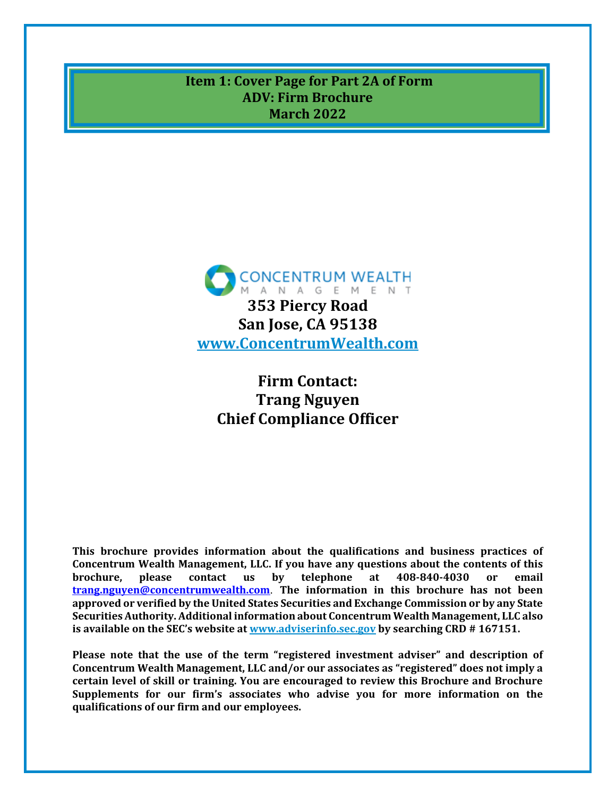<span id="page-0-0"></span>**Item 1: Cover Page for Part 2A of Form ADV: Firm Brochure March 2022**



# **Firm Contact: Trang Nguyen Chief Compliance Officer**

**This brochure provides information about the qualifications and business practices of Concentrum Wealth Management, LLC. If you have any questions about the contents of this brochure, please contact us by telephone at 408-840-4030 or email [trang.nguyen@concentrumwealth.com](mailto:trang.nguyen@concentrumwealth.com)**. **The information in this brochure has not been approved or verified by the United States Securities and Exchange Commission or by any State Securities Authority. Additional information about Concentrum Wealth Management, LLC also is available on the SEC's website at [www.adviserinfo.sec.gov](http://www.adviserinfo.sec.gov/) by searching CRD # 167151.**

**Please note that the use of the term "registered investment adviser" and description of Concentrum Wealth Management, LLC and/or our associates as "registered" does not imply a certain level of skill or training. You are encouraged to review this Brochure and Brochure Supplements for our firm's associates who advise you for more information on the qualifications of our firm and our employees.**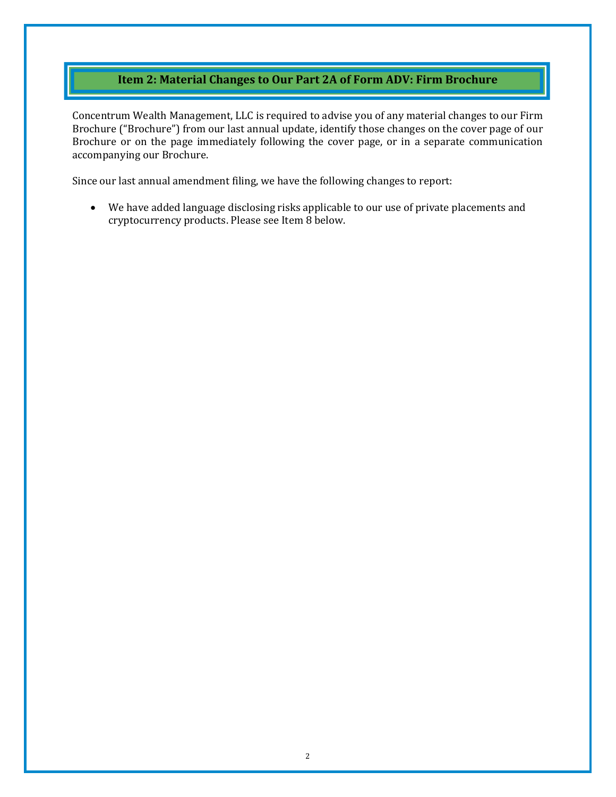# **Item 2: Material Changes to Our Part 2A of Form ADV: Firm Brochure**

<span id="page-1-0"></span>Concentrum Wealth Management, LLC is required to advise you of any material changes to our Firm Brochure ("Brochure") from our last annual update, identify those changes on the cover page of our Brochure or on the page immediately following the cover page, or in a separate communication accompanying our Brochure.

Since our last annual amendment filing, we have the following changes to report:

• We have added language disclosing risks applicable to our use of private placements and cryptocurrency products. Please see Item 8 below.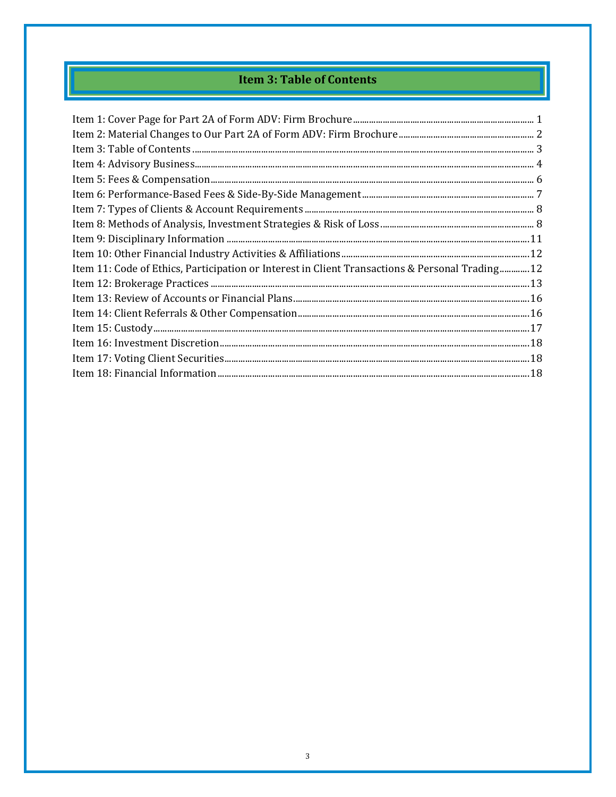# **Item 3: Table of Contents**

<span id="page-2-0"></span>

| Item 11: Code of Ethics, Participation or Interest in Client Transactions & Personal Trading 12 |
|-------------------------------------------------------------------------------------------------|
|                                                                                                 |
|                                                                                                 |
|                                                                                                 |
|                                                                                                 |
|                                                                                                 |
|                                                                                                 |
|                                                                                                 |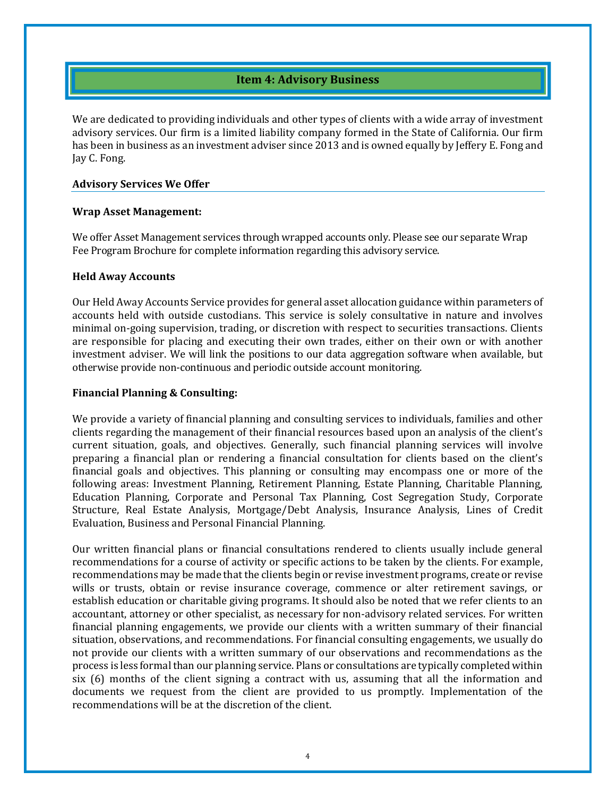# **Item 4: Advisory Business**

<span id="page-3-0"></span>We are dedicated to providing individuals and other types of clients with a wide array of investment advisory services. Our firm is a limited liability company formed in the State of California. Our firm has been in business as an investment adviser since 2013 and is owned equally by Jeffery E. Fong and Jay C. Fong.

#### **Advisory Services We Offer**

#### **Wrap Asset Management:**

We offer Asset Management services through wrapped accounts only. Please see our separate Wrap Fee Program Brochure for complete information regarding this advisory service.

#### **Held Away Accounts**

Our Held Away Accounts Service provides for general asset allocation guidance within parameters of accounts held with outside custodians. This service is solely consultative in nature and involves minimal on-going supervision, trading, or discretion with respect to securities transactions. Clients are responsible for placing and executing their own trades, either on their own or with another investment adviser. We will link the positions to our data aggregation software when available, but otherwise provide non-continuous and periodic outside account monitoring.

#### **Financial Planning & Consulting:**

We provide a variety of financial planning and consulting services to individuals, families and other clients regarding the management of their financial resources based upon an analysis of the client's current situation, goals, and objectives. Generally, such financial planning services will involve preparing a financial plan or rendering a financial consultation for clients based on the client's financial goals and objectives. This planning or consulting may encompass one or more of the following areas: Investment Planning, Retirement Planning, Estate Planning, Charitable Planning, Education Planning, Corporate and Personal Tax Planning, Cost Segregation Study, Corporate Structure, Real Estate Analysis, Mortgage/Debt Analysis, Insurance Analysis, Lines of Credit Evaluation, Business and Personal Financial Planning.

Our written financial plans or financial consultations rendered to clients usually include general recommendations for a course of activity or specific actions to be taken by the clients. For example, recommendations may be made that the clients begin or revise investment programs, create or revise wills or trusts, obtain or revise insurance coverage, commence or alter retirement savings, or establish education or charitable giving programs. It should also be noted that we refer clients to an accountant, attorney or other specialist, as necessary for non-advisory related services. For written financial planning engagements, we provide our clients with a written summary of their financial situation, observations, and recommendations. For financial consulting engagements, we usually do not provide our clients with a written summary of our observations and recommendations as the process is less formal than our planning service. Plans or consultations are typically completed within six (6) months of the client signing a contract with us, assuming that all the information and documents we request from the client are provided to us promptly. Implementation of the recommendations will be at the discretion of the client.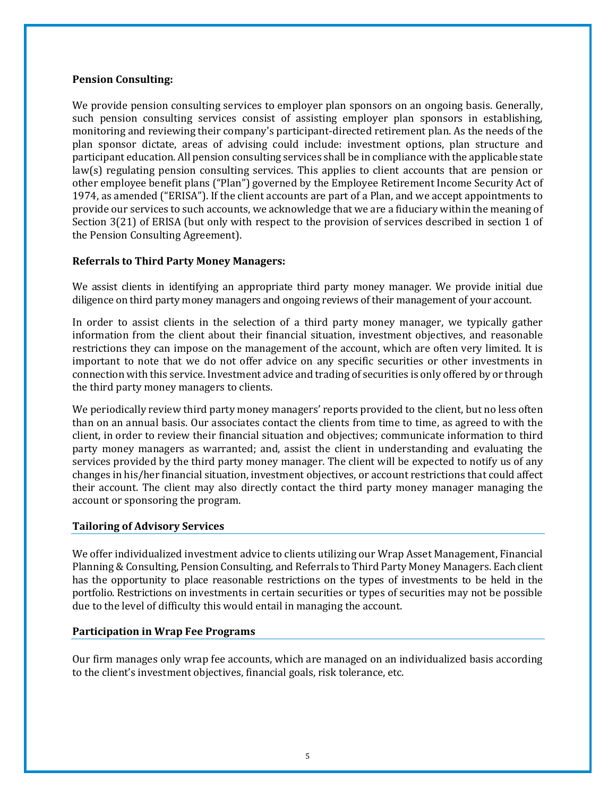#### **Pension Consulting:**

We provide pension consulting services to employer plan sponsors on an ongoing basis. Generally, such pension consulting services consist of assisting employer plan sponsors in establishing, monitoring and reviewing their company's participant-directed retirement plan. As the needs of the plan sponsor dictate, areas of advising could include: investment options, plan structure and participant education. All pension consulting services shall be in compliance with the applicable state law(s) regulating pension consulting services. This applies to client accounts that are pension or other employee benefit plans ("Plan") governed by the Employee Retirement Income Security Act of 1974, as amended ("ERISA"). If the client accounts are part of a Plan, and we accept appointments to provide our services to such accounts, we acknowledge that we are a fiduciary within the meaning of Section 3(21) of ERISA (but only with respect to the provision of services described in section 1 of the Pension Consulting Agreement).

### **Referrals to Third Party Money Managers:**

We assist clients in identifying an appropriate third party money manager. We provide initial due diligence on third party money managers and ongoing reviews of their management of your account.

In order to assist clients in the selection of a third party money manager, we typically gather information from the client about their financial situation, investment objectives, and reasonable restrictions they can impose on the management of the account, which are often very limited. It is important to note that we do not offer advice on any specific securities or other investments in connection with this service. Investment advice and trading of securities is only offered by or through the third party money managers to clients.

We periodically review third party money managers' reports provided to the client, but no less often than on an annual basis. Our associates contact the clients from time to time, as agreed to with the client, in order to review their financial situation and objectives; communicate information to third party money managers as warranted; and, assist the client in understanding and evaluating the services provided by the third party money manager. The client will be expected to notify us of any changes in his/her financial situation, investment objectives, or account restrictions that could affect their account. The client may also directly contact the third party money manager managing the account or sponsoring the program.

#### **Tailoring of Advisory Services**

We offer individualized investment advice to clients utilizing our Wrap Asset Management, Financial Planning & Consulting, Pension Consulting, and Referrals to Third Party Money Managers. Each client has the opportunity to place reasonable restrictions on the types of investments to be held in the portfolio. Restrictions on investments in certain securities or types of securities may not be possible due to the level of difficulty this would entail in managing the account.

#### **Participation in Wrap Fee Programs**

Our firm manages only wrap fee accounts, which are managed on an individualized basis according to the client's investment objectives, financial goals, risk tolerance, etc.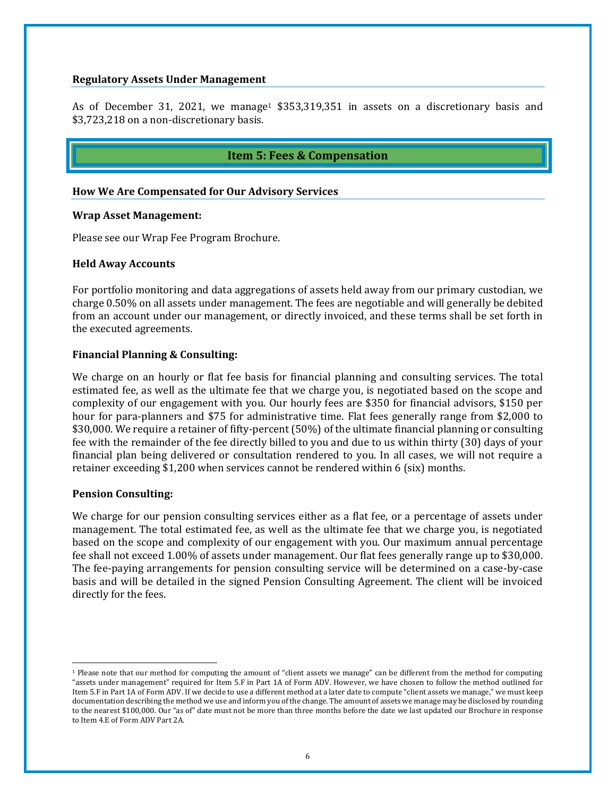#### **Regulatory Assets Under Management**

As of December 31, 2021, we manage<sup>1</sup> \$353,319,351 in assets on a discretionary basis and \$3,723,218 on a non-discretionary basis.

### **Item 5: Fees & Compensation**

#### <span id="page-5-0"></span>**How We Are Compensated for Our Advisory Services**

#### **Wrap Asset Management:**

Please see our Wrap Fee Program Brochure.

#### **Held Away Accounts**

For portfolio monitoring and data aggregations of assets held away from our primary custodian, we charge 0.50% on all assets under management. The fees are negotiable and will generally be debited from an account under our management, or directly invoiced, and these terms shall be set forth in the executed agreements.

#### **Financial Planning & Consulting:**

We charge on an hourly or flat fee basis for financial planning and consulting services. The total estimated fee, as well as the ultimate fee that we charge you, is negotiated based on the scope and complexity of our engagement with you. Our hourly fees are \$350 for financial advisors, \$150 per hour for para-planners and \$75 for administrative time. Flat fees generally range from \$2,000 to \$30,000. We require a retainer of fifty-percent (50%) of the ultimate financial planning or consulting fee with the remainder of the fee directly billed to you and due to us within thirty (30) days of your financial plan being delivered or consultation rendered to you. In all cases, we will not require a retainer exceeding \$1,200 when services cannot be rendered within 6 (six) months.

#### **Pension Consulting:**

We charge for our pension consulting services either as a flat fee, or a percentage of assets under management. The total estimated fee, as well as the ultimate fee that we charge you, is negotiated based on the scope and complexity of our engagement with you. Our maximum annual percentage fee shall not exceed 1.00% of assets under management. Our flat fees generally range up to \$30,000. The fee-paying arrangements for pension consulting service will be determined on a case-by-case basis and will be detailed in the signed Pension Consulting Agreement. The client will be invoiced directly for the fees.

<sup>&</sup>lt;sup>1</sup> Please note that our method for computing the amount of "client assets we manage" can be different from the method for computing "assets under management" required for Item 5.F in Part 1A of Form ADV. However, we have chosen to follow the method outlined for Item 5.F in Part 1A of Form ADV. If we decide to use a different method at a later date to compute "client assets we manage," we must keep documentation describing the method we use and inform you of the change. The amount of assets we manage may be disclosed by rounding to the nearest \$100,000. Our "as of" date must not be more than three months before the date we last updated our Brochure in response to Item 4.E of Form ADV Part 2A.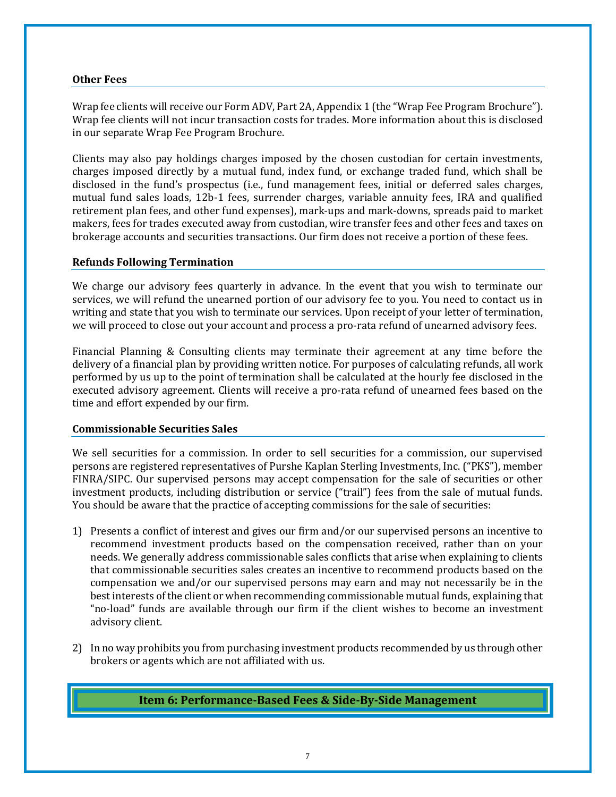#### **Other Fees**

Wrap fee clients will receive our Form ADV, Part 2A, Appendix 1 (the "Wrap Fee Program Brochure"). Wrap fee clients will not incur transaction costs for trades. More information about this is disclosed in our separate Wrap Fee Program Brochure.

Clients may also pay holdings charges imposed by the chosen custodian for certain investments, charges imposed directly by a mutual fund, index fund, or exchange traded fund, which shall be disclosed in the fund's prospectus (i.e., fund management fees, initial or deferred sales charges, mutual fund sales loads, 12b-1 fees, surrender charges, variable annuity fees, IRA and qualified retirement plan fees, and other fund expenses), mark-ups and mark-downs, spreads paid to market makers, fees for trades executed away from custodian, wire transfer fees and other fees and taxes on brokerage accounts and securities transactions. Our firm does not receive a portion of these fees.

#### **Refunds Following Termination**

We charge our advisory fees quarterly in advance. In the event that you wish to terminate our services, we will refund the unearned portion of our advisory fee to you. You need to contact us in writing and state that you wish to terminate our services. Upon receipt of your letter of termination, we will proceed to close out your account and process a pro-rata refund of unearned advisory fees.

Financial Planning & Consulting clients may terminate their agreement at any time before the delivery of a financial plan by providing written notice. For purposes of calculating refunds, all work performed by us up to the point of termination shall be calculated at the hourly fee disclosed in the executed advisory agreement. Clients will receive a pro-rata refund of unearned fees based on the time and effort expended by our firm.

#### **Commissionable Securities Sales**

We sell securities for a commission. In order to sell securities for a commission, our supervised persons are registered representatives of Purshe Kaplan Sterling Investments, Inc. ("PKS"), member FINRA/SIPC. Our supervised persons may accept compensation for the sale of securities or other investment products, including distribution or service ("trail") fees from the sale of mutual funds. You should be aware that the practice of accepting commissions for the sale of securities:

- 1) Presents a conflict of interest and gives our firm and/or our supervised persons an incentive to recommend investment products based on the compensation received, rather than on your needs. We generally address commissionable sales conflicts that arise when explaining to clients that commissionable securities sales creates an incentive to recommend products based on the compensation we and/or our supervised persons may earn and may not necessarily be in the best interests of the client or when recommending commissionable mutual funds, explaining that "no-load" funds are available through our firm if the client wishes to become an investment advisory client.
- <span id="page-6-0"></span>2) In no way prohibits you from purchasing investment products recommended by us through other brokers or agents which are not affiliated with us.

# **Item 6: Performance-Based Fees & Side-By-Side Management**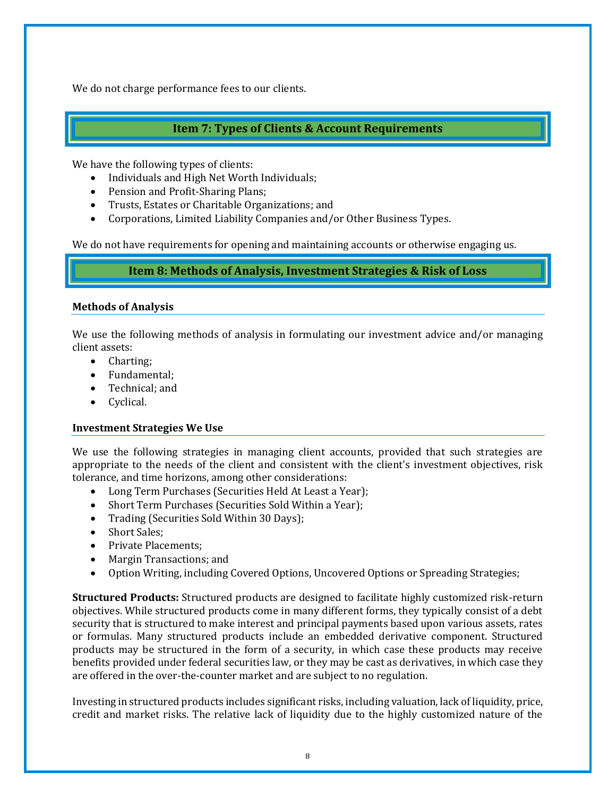We do not charge performance fees to our clients.

# **Item 7: Types of Clients & Account Requirements**

<span id="page-7-0"></span>We have the following types of clients:

- Individuals and High Net Worth Individuals;
- Pension and Profit-Sharing Plans;
- Trusts, Estates or Charitable Organizations; and
- Corporations, Limited Liability Companies and/or Other Business Types.

<span id="page-7-1"></span>We do not have requirements for opening and maintaining accounts or otherwise engaging us.

# **Item 8: Methods of Analysis, Investment Strategies & Risk of Loss**

### **Methods of Analysis**

We use the following methods of analysis in formulating our investment advice and/or managing client assets:

- Charting;
- Fundamental;
- Technical; and
- Cyclical.

#### **Investment Strategies We Use**

We use the following strategies in managing client accounts, provided that such strategies are appropriate to the needs of the client and consistent with the client's investment objectives, risk tolerance, and time horizons, among other considerations:

- Long Term Purchases (Securities Held At Least a Year);
- Short Term Purchases (Securities Sold Within a Year);
- Trading (Securities Sold Within 30 Days);
- Short Sales;
- Private Placements:
- Margin Transactions; and
- Option Writing, including Covered Options, Uncovered Options or Spreading Strategies;

**Structured Products:** Structured products are designed to facilitate highly customized risk-return objectives. While structured products come in many different forms, they typically consist of a debt security that is structured to make interest and principal payments based upon various assets, rates or formulas. Many structured products include an embedded derivative component. Structured products may be structured in the form of a security, in which case these products may receive benefits provided under federal securities law, or they may be cast as derivatives, in which case they are offered in the over-the-counter market and are subject to no regulation.

Investing in structured products includes significant risks, including valuation, lack of liquidity, price, credit and market risks. The relative lack of liquidity due to the highly customized nature of the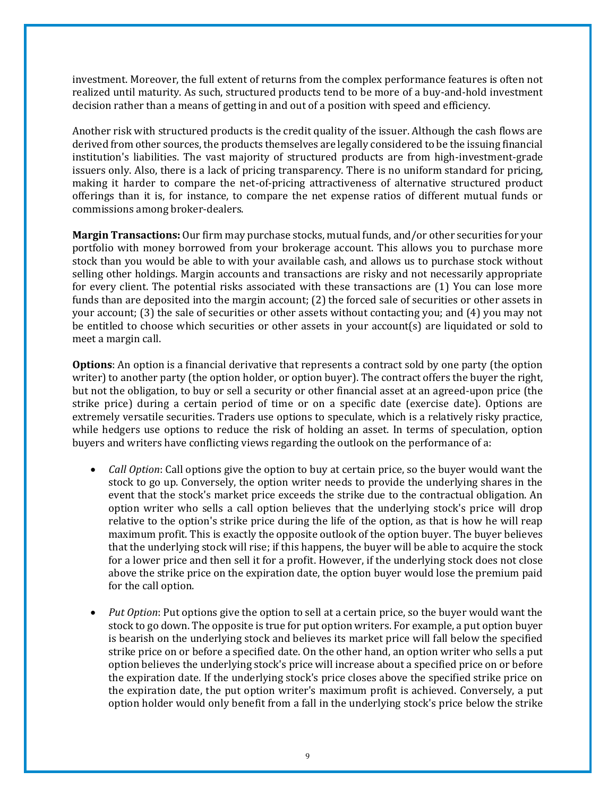investment. Moreover, the full extent of returns from the complex performance features is often not realized until maturity. As such, structured products tend to be more of a buy-and-hold investment decision rather than a means of getting in and out of a position with speed and efficiency.

Another risk with structured products is the credit quality of the issuer. Although the cash flows are derived from other sources, the products themselves are legally considered to be the issuing financial institution's liabilities. The vast majority of structured products are from high-investment-grade issuers only. Also, there is a lack of pricing transparency. There is no uniform standard for pricing, making it harder to compare the net-of-pricing attractiveness of alternative structured product offerings than it is, for instance, to compare the net expense ratios of different mutual funds or commissions among broker-dealers.

**Margin Transactions:** Our firm may purchase stocks, mutual funds, and/or other securities for your portfolio with money borrowed from your brokerage account. This allows you to purchase more stock than you would be able to with your available cash, and allows us to purchase stock without selling other holdings. Margin accounts and transactions are risky and not necessarily appropriate for every client. The potential risks associated with these transactions are (1) You can lose more funds than are deposited into the margin account; (2) the forced sale of securities or other assets in your account; (3) the sale of securities or other assets without contacting you; and (4) you may not be entitled to choose which securities or other assets in your account(s) are liquidated or sold to meet a margin call.

**Options**: An option is a financial derivative that represents a contract sold by one party (the option writer) to another party (the option holder, or option buyer). The contract offers the buyer the right, but not the obligation, to buy or sell a security or other financial asset at an agreed-upon price (the strike price) during a certain period of time or on a specific date (exercise date). Options are extremely versatile securities. Traders use options to speculate, which is a relatively risky practice, while hedgers use options to reduce the risk of holding an asset. In terms of speculation, option buyers and writers have conflicting views regarding the outlook on the performance of a:

- *Call Option*: Call options give the option to buy at certain price, so the buyer would want the stock to go up. Conversely, the option writer needs to provide the underlying shares in the event that the stock's market price exceeds the strike due to the contractual obligation. An option writer who sells a call option believes that the underlying stock's price will drop relative to the option's strike price during the life of the option, as that is how he will reap maximum profit. This is exactly the opposite outlook of the option buyer. The buyer believes that the underlying stock will rise; if this happens, the buyer will be able to acquire the stock for a lower price and then sell it for a profit. However, if the underlying stock does not close above the strike price on the expiration date, the option buyer would lose the premium paid for the call option.
- *Put Option*: Put options give the option to sell at a certain price, so the buyer would want the stock to go down. The opposite is true for put option writers. For example, a put option buyer is bearish on the underlying stock and believes its market price will fall below the specified strike price on or before a specified date. On the other hand, an option writer who sells a put option believes the underlying stock's price will increase about a specified price on or before the expiration date. If the underlying stock's price closes above the specified strike price on the expiration date, the put option writer's maximum profit is achieved. Conversely, a put option holder would only benefit from a fall in the underlying stock's price below the strike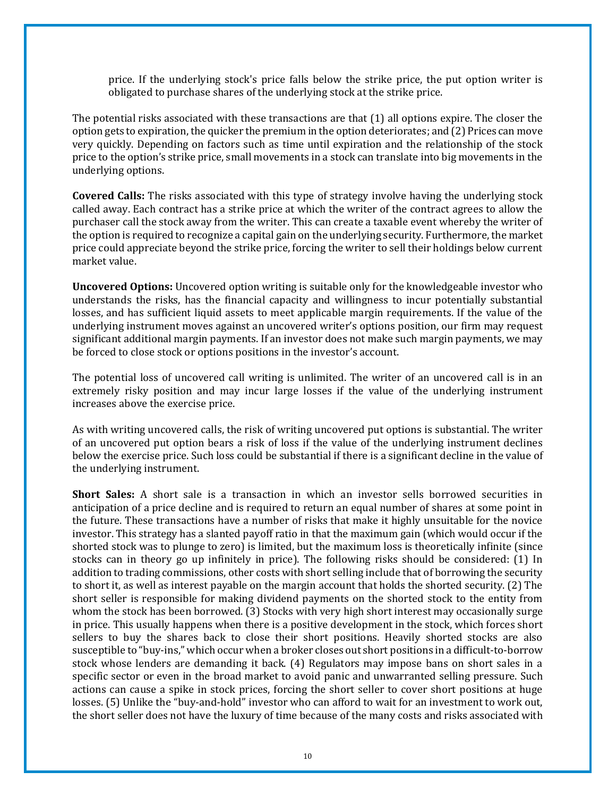price. If the underlying stock's price falls below the strike price, the put option writer is obligated to purchase shares of the underlying stock at the strike price.

The potential risks associated with these transactions are that (1) all options expire. The closer the option gets to expiration, the quicker the premium in the option deteriorates; and (2) Prices can move very quickly. Depending on factors such as time until expiration and the relationship of the stock price to the option's strike price, small movements in a stock can translate into big movements in the underlying options.

**Covered Calls:** The risks associated with this type of strategy involve having the underlying stock called away. Each contract has a strike price at which the writer of the contract agrees to allow the purchaser call the stock away from the writer. This can create a taxable event whereby the writer of the option is required to recognize a capital gain on the underlying security. Furthermore, the market price could appreciate beyond the strike price, forcing the writer to sell their holdings below current market value.

**Uncovered Options:** Uncovered option writing is suitable only for the knowledgeable investor who understands the risks, has the financial capacity and willingness to incur potentially substantial losses, and has sufficient liquid assets to meet applicable margin requirements. If the value of the underlying instrument moves against an uncovered writer's options position, our firm may request significant additional margin payments. If an investor does not make such margin payments, we may be forced to close stock or options positions in the investor's account.

The potential loss of uncovered call writing is unlimited. The writer of an uncovered call is in an extremely risky position and may incur large losses if the value of the underlying instrument increases above the exercise price.

As with writing uncovered calls, the risk of writing uncovered put options is substantial. The writer of an uncovered put option bears a risk of loss if the value of the underlying instrument declines below the exercise price. Such loss could be substantial if there is a significant decline in the value of the underlying instrument.

**Short Sales:** A short sale is a transaction in which an investor sells borrowed securities in anticipation of a price decline and is required to return an equal number of shares at some point in the future. These transactions have a number of risks that make it highly unsuitable for the novice investor. This strategy has a slanted payoff ratio in that the maximum gain (which would occur if the shorted stock was to plunge to zero) is limited, but the maximum loss is theoretically infinite (since stocks can in theory go up infinitely in price). The following risks should be considered: (1) In addition to trading commissions, other costs with short selling include that of borrowing the security to short it, as well as interest payable on the margin account that holds the shorted security. (2) The short seller is responsible for making dividend payments on the shorted stock to the entity from whom the stock has been borrowed. (3) Stocks with very high short interest may occasionally surge in price. This usually happens when there is a positive development in the stock, which forces short sellers to buy the shares back to close their short positions. Heavily shorted stocks are also susceptible to "buy-ins," which occur when a broker closes out short positions in a difficult-to-borrow stock whose lenders are demanding it back. (4) Regulators may impose bans on short sales in a specific sector or even in the broad market to avoid panic and unwarranted selling pressure. Such actions can cause a spike in stock prices, forcing the short seller to cover short positions at huge losses. (5) Unlike the "buy-and-hold" investor who can afford to wait for an investment to work out, the short seller does not have the luxury of time because of the many costs and risks associated with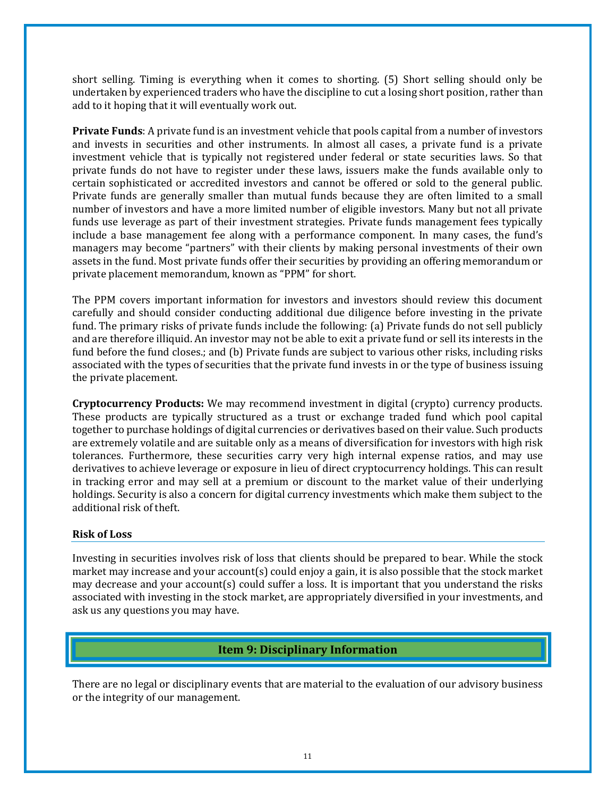short selling. Timing is everything when it comes to shorting. (5) Short selling should only be undertaken by experienced traders who have the discipline to cut a losing short position, rather than add to it hoping that it will eventually work out.

**Private Funds**: A private fund is an investment vehicle that pools capital from a number of investors and invests in securities and other instruments. In almost all cases, a private fund is a private investment vehicle that is typically not registered under federal or state securities laws. So that private funds do not have to register under these laws, issuers make the funds available only to certain sophisticated or accredited investors and cannot be offered or sold to the general public. Private funds are generally smaller than mutual funds because they are often limited to a small number of investors and have a more limited number of eligible investors. Many but not all private funds use leverage as part of their investment strategies. Private funds management fees typically include a base management fee along with a performance component. In many cases, the fund's managers may become "partners" with their clients by making personal investments of their own assets in the fund. Most private funds offer their securities by providing an offering memorandum or private placement memorandum, known as "PPM" for short.

The PPM covers important information for investors and investors should review this document carefully and should consider conducting additional due diligence before investing in the private fund. The primary risks of private funds include the following: (a) Private funds do not sell publicly and are therefore illiquid. An investor may not be able to exit a private fund or sell its interests in the fund before the fund closes.; and (b) Private funds are subject to various other risks, including risks associated with the types of securities that the private fund invests in or the type of business issuing the private placement.

**Cryptocurrency Products:** We may recommend investment in digital (crypto) currency products. These products are typically structured as a trust or exchange traded fund which pool capital together to purchase holdings of digital currencies or derivatives based on their value. Such products are extremely volatile and are suitable only as a means of diversification for investors with high risk tolerances. Furthermore, these securities carry very high internal expense ratios, and may use derivatives to achieve leverage or exposure in lieu of direct cryptocurrency holdings. This can result in tracking error and may sell at a premium or discount to the market value of their underlying holdings. Security is also a concern for digital currency investments which make them subject to the additional risk of theft.

#### **Risk of Loss**

Investing in securities involves risk of loss that clients should be prepared to bear. While the stock market may increase and your account(s) could enjoy a gain, it is also possible that the stock market may decrease and your account(s) could suffer a loss. It is important that you understand the risks associated with investing in the stock market, are appropriately diversified in your investments, and ask us any questions you may have.

# <span id="page-10-0"></span>**Item 9: Disciplinary Information**

There are no legal or disciplinary events that are material to the evaluation of our advisory business or the integrity of our management.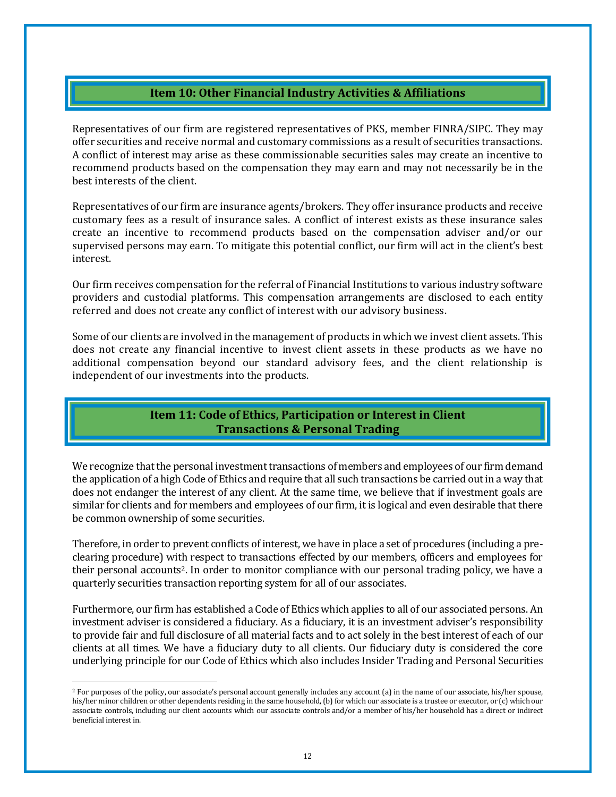### **Item 10: Other Financial Industry Activities & Affiliations**

<span id="page-11-0"></span>Representatives of our firm are registered representatives of PKS, member FINRA/SIPC. They may offer securities and receive normal and customary commissions as a result of securities transactions. A conflict of interest may arise as these commissionable securities sales may create an incentive to recommend products based on the compensation they may earn and may not necessarily be in the best interests of the client.

Representatives of our firm are insurance agents/brokers. They offer insurance products and receive customary fees as a result of insurance sales. A conflict of interest exists as these insurance sales create an incentive to recommend products based on the compensation adviser and/or our supervised persons may earn. To mitigate this potential conflict, our firm will act in the client's best interest.

Our firm receives compensation for the referral of Financial Institutions to various industry software providers and custodial platforms. This compensation arrangements are disclosed to each entity referred and does not create any conflict of interest with our advisory business.

Some of our clients are involved in the management of products in which we invest client assets. This does not create any financial incentive to invest client assets in these products as we have no additional compensation beyond our standard advisory fees, and the client relationship is independent of our investments into the products.

### **Item 11: Code of Ethics, Participation or Interest in Client Transactions & Personal Trading**

<span id="page-11-1"></span>We recognize that the personal investment transactions of members and employees of our firm demand the application of a high Code of Ethics and require that all such transactions be carried out in a way that does not endanger the interest of any client. At the same time, we believe that if investment goals are similar for clients and for members and employees of our firm, it is logical and even desirable that there be common ownership of some securities.

Therefore, in order to prevent conflicts of interest, we have in place a set of procedures (including a preclearing procedure) with respect to transactions effected by our members, officers and employees for their personal accounts<sup>2</sup>. In order to monitor compliance with our personal trading policy, we have a quarterly securities transaction reporting system for all of our associates.

Furthermore, our firm has established a Code of Ethics which applies to all of our associated persons. An investment adviser is considered a fiduciary. As a fiduciary, it is an investment adviser's responsibility to provide fair and full disclosure of all material facts and to act solely in the best interest of each of our clients at all times. We have a fiduciary duty to all clients. Our fiduciary duty is considered the core underlying principle for our Code of Ethics which also includes Insider Trading and Personal Securities

<sup>&</sup>lt;sup>2</sup> For purposes of the policy, our associate's personal account generally includes any account (a) in the name of our associate, his/her spouse, his/her minor children or other dependents residing in the same household, (b) for which our associate is a trustee or executor, or (c) which our associate controls, including our client accounts which our associate controls and/or a member of his/her household has a direct or indirect beneficial interest in.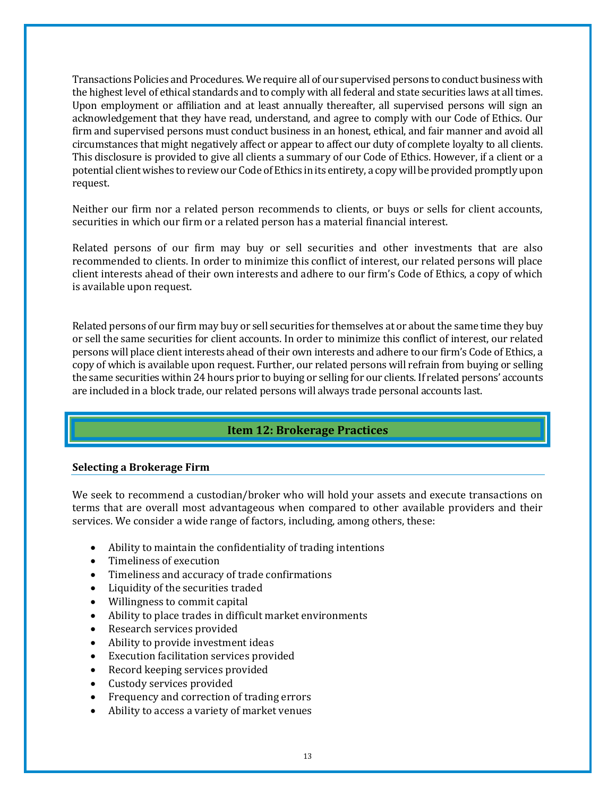Transactions Policies and Procedures. We require all of our supervised persons to conduct business with the highest level of ethical standards and to comply with all federal and state securities laws at all times. Upon employment or affiliation and at least annually thereafter, all supervised persons will sign an acknowledgement that they have read, understand, and agree to comply with our Code of Ethics. Our firm and supervised persons must conduct business in an honest, ethical, and fair manner and avoid all circumstances that might negatively affect or appear to affect our duty of complete loyalty to all clients. This disclosure is provided to give all clients a summary of our Code of Ethics. However, if a client or a potential client wishes to review our Code of Ethics in its entirety, a copy will be provided promptly upon request.

Neither our firm nor a related person recommends to clients, or buys or sells for client accounts, securities in which our firm or a related person has a material financial interest.

Related persons of our firm may buy or sell securities and other investments that are also recommended to clients. In order to minimize this conflict of interest, our related persons will place client interests ahead of their own interests and adhere to our firm's Code of Ethics, a copy of which is available upon request.

Related persons of our firm may buy or sell securities for themselves at or about the same time they buy or sell the same securities for client accounts. In order to minimize this conflict of interest, our related persons will place client interests ahead of their own interests and adhere to our firm's Code of Ethics, a copy of which is available upon request. Further, our related persons will refrain from buying or selling the same securities within 24 hours prior to buying or selling for our clients. If related persons' accounts are included in a block trade, our related persons will always trade personal accounts last.

# **Item 12: Brokerage Practices**

#### <span id="page-12-0"></span>**Selecting a Brokerage Firm**

We seek to recommend a custodian/broker who will hold your assets and execute transactions on terms that are overall most advantageous when compared to other available providers and their services. We consider a wide range of factors, including, among others, these:

- Ability to maintain the confidentiality of trading intentions
- Timeliness of execution
- Timeliness and accuracy of trade confirmations
- Liquidity of the securities traded
- Willingness to commit capital
- Ability to place trades in difficult market environments
- Research services provided
- Ability to provide investment ideas
- Execution facilitation services provided
- Record keeping services provided
- Custody services provided
- Frequency and correction of trading errors
- Ability to access a variety of market venues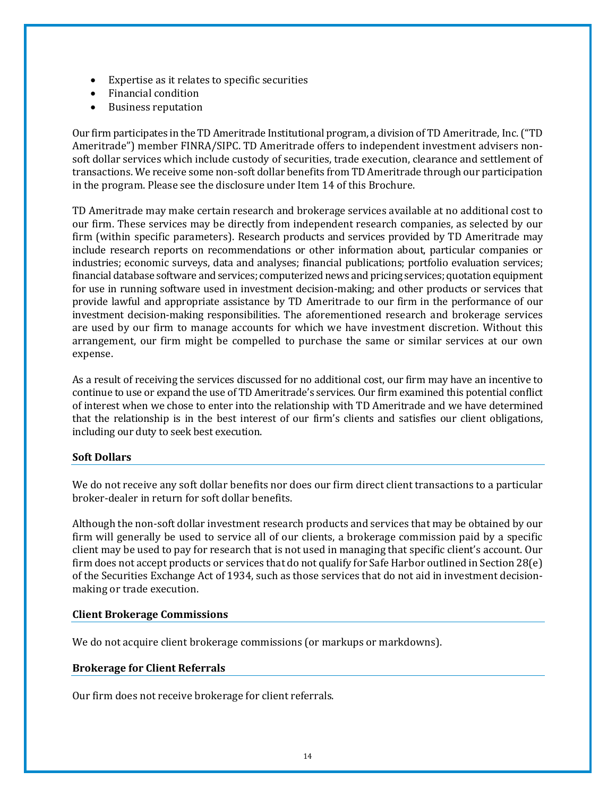- Expertise as it relates to specific securities
- Financial condition
- Business reputation

Our firm participates in the TD Ameritrade Institutional program, a division of TD Ameritrade, Inc. ("TD Ameritrade") member FINRA/SIPC. TD Ameritrade offers to independent investment advisers nonsoft dollar services which include custody of securities, trade execution, clearance and settlement of transactions. We receive some non-soft dollar benefits from TD Ameritrade through our participation in the program. Please see the disclosure under Item 14 of this Brochure.

TD Ameritrade may make certain research and brokerage services available at no additional cost to our firm. These services may be directly from independent research companies, as selected by our firm (within specific parameters). Research products and services provided by TD Ameritrade may include research reports on recommendations or other information about, particular companies or industries; economic surveys, data and analyses; financial publications; portfolio evaluation services; financial database software and services; computerized news and pricing services; quotation equipment for use in running software used in investment decision-making; and other products or services that provide lawful and appropriate assistance by TD Ameritrade to our firm in the performance of our investment decision-making responsibilities. The aforementioned research and brokerage services are used by our firm to manage accounts for which we have investment discretion. Without this arrangement, our firm might be compelled to purchase the same or similar services at our own expense.

As a result of receiving the services discussed for no additional cost, our firm may have an incentive to continue to use or expand the use of TD Ameritrade's services. Our firm examined this potential conflict of interest when we chose to enter into the relationship with TD Ameritrade and we have determined that the relationship is in the best interest of our firm's clients and satisfies our client obligations, including our duty to seek best execution.

#### **Soft Dollars**

We do not receive any soft dollar benefits nor does our firm direct client transactions to a particular broker-dealer in return for soft dollar benefits.

Although the non-soft dollar investment research products and services that may be obtained by our firm will generally be used to service all of our clients, a brokerage commission paid by a specific client may be used to pay for research that is not used in managing that specific client's account. Our firm does not accept products or services that do not qualify for Safe Harbor outlined in Section 28(e) of the Securities Exchange Act of 1934, such as those services that do not aid in investment decisionmaking or trade execution.

#### **Client Brokerage Commissions**

We do not acquire client brokerage commissions (or markups or markdowns).

#### **Brokerage for Client Referrals**

Our firm does not receive brokerage for client referrals.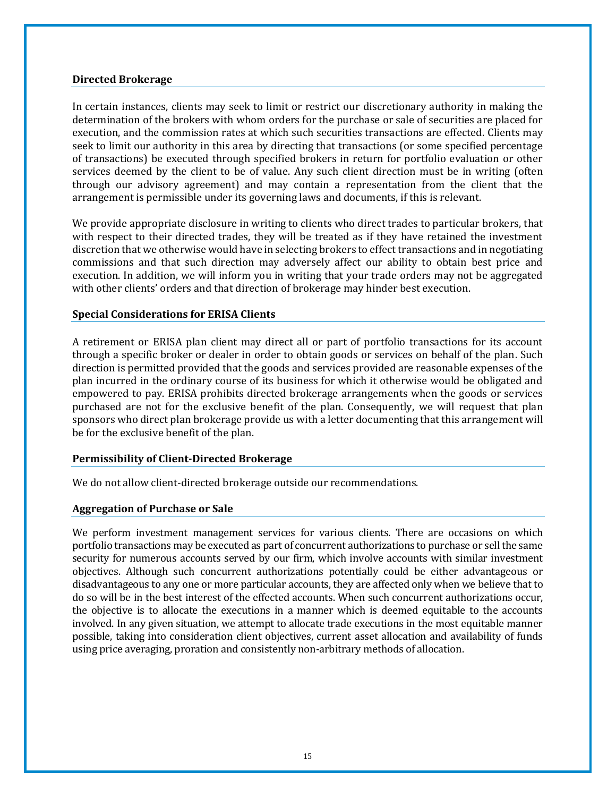#### **Directed Brokerage**

In certain instances, clients may seek to limit or restrict our discretionary authority in making the determination of the brokers with whom orders for the purchase or sale of securities are placed for execution, and the commission rates at which such securities transactions are effected. Clients may seek to limit our authority in this area by directing that transactions (or some specified percentage of transactions) be executed through specified brokers in return for portfolio evaluation or other services deemed by the client to be of value. Any such client direction must be in writing (often through our advisory agreement) and may contain a representation from the client that the arrangement is permissible under its governing laws and documents, if this is relevant.

We provide appropriate disclosure in writing to clients who direct trades to particular brokers, that with respect to their directed trades, they will be treated as if they have retained the investment discretion that we otherwise would have in selecting brokers to effect transactions and in negotiating commissions and that such direction may adversely affect our ability to obtain best price and execution. In addition, we will inform you in writing that your trade orders may not be aggregated with other clients' orders and that direction of brokerage may hinder best execution.

#### **Special Considerations for ERISA Clients**

A retirement or ERISA plan client may direct all or part of portfolio transactions for its account through a specific broker or dealer in order to obtain goods or services on behalf of the plan. Such direction is permitted provided that the goods and services provided are reasonable expenses of the plan incurred in the ordinary course of its business for which it otherwise would be obligated and empowered to pay. ERISA prohibits directed brokerage arrangements when the goods or services purchased are not for the exclusive benefit of the plan. Consequently, we will request that plan sponsors who direct plan brokerage provide us with a letter documenting that this arrangement will be for the exclusive benefit of the plan.

#### **Permissibility of Client-Directed Brokerage**

We do not allow client-directed brokerage outside our recommendations.

#### **Aggregation of Purchase or Sale**

We perform investment management services for various clients. There are occasions on which portfolio transactions may be executed as part of concurrent authorizations to purchase or sell the same security for numerous accounts served by our firm, which involve accounts with similar investment objectives. Although such concurrent authorizations potentially could be either advantageous or disadvantageous to any one or more particular accounts, they are affected only when we believe that to do so will be in the best interest of the effected accounts. When such concurrent authorizations occur, the objective is to allocate the executions in a manner which is deemed equitable to the accounts involved. In any given situation, we attempt to allocate trade executions in the most equitable manner possible, taking into consideration client objectives, current asset allocation and availability of funds using price averaging, proration and consistently non-arbitrary methods of allocation.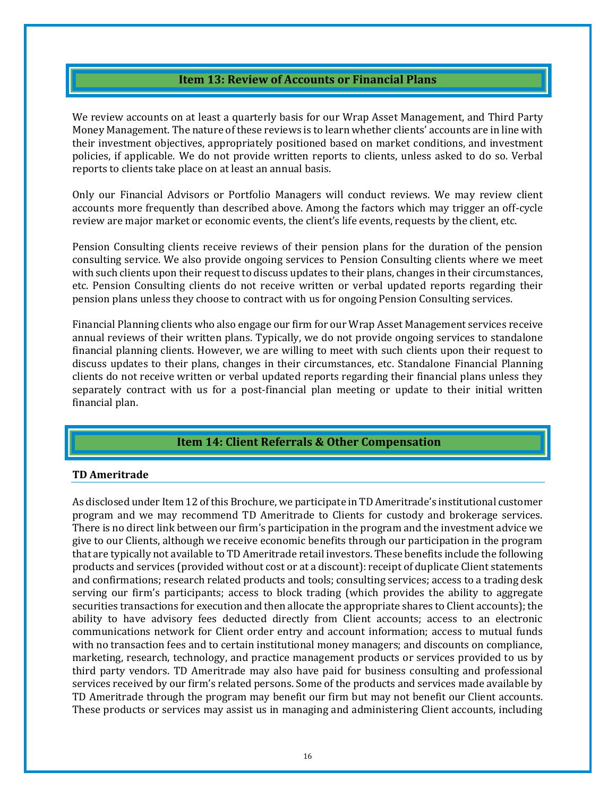### **Item 13: Review of Accounts or Financial Plans**

<span id="page-15-0"></span>We review accounts on at least a quarterly basis for our Wrap Asset Management, and Third Party Money Management. The nature of these reviews is to learn whether clients' accounts are in line with their investment objectives, appropriately positioned based on market conditions, and investment policies, if applicable. We do not provide written reports to clients, unless asked to do so. Verbal reports to clients take place on at least an annual basis.

Only our Financial Advisors or Portfolio Managers will conduct reviews. We may review client accounts more frequently than described above. Among the factors which may trigger an off-cycle review are major market or economic events, the client's life events, requests by the client, etc.

Pension Consulting clients receive reviews of their pension plans for the duration of the pension consulting service. We also provide ongoing services to Pension Consulting clients where we meet with such clients upon their request to discuss updates to their plans, changes in their circumstances, etc. Pension Consulting clients do not receive written or verbal updated reports regarding their pension plans unless they choose to contract with us for ongoing Pension Consulting services.

Financial Planning clients who also engage our firm for our Wrap Asset Management services receive annual reviews of their written plans. Typically, we do not provide ongoing services to standalone financial planning clients. However, we are willing to meet with such clients upon their request to discuss updates to their plans, changes in their circumstances, etc. Standalone Financial Planning clients do not receive written or verbal updated reports regarding their financial plans unless they separately contract with us for a post-financial plan meeting or update to their initial written financial plan.

### <span id="page-15-1"></span>**Item 14: Client Referrals & Other Compensation**

#### **TD Ameritrade**

As disclosed under Item 12 of this Brochure, we participate in TD Ameritrade's institutional customer program and we may recommend TD Ameritrade to Clients for custody and brokerage services. There is no direct link between our firm's participation in the program and the investment advice we give to our Clients, although we receive economic benefits through our participation in the program that are typically not available to TD Ameritrade retail investors. These benefits include the following products and services (provided without cost or at a discount): receipt of duplicate Client statements and confirmations; research related products and tools; consulting services; access to a trading desk serving our firm's participants; access to block trading (which provides the ability to aggregate securities transactions for execution and then allocate the appropriate shares to Client accounts); the ability to have advisory fees deducted directly from Client accounts; access to an electronic communications network for Client order entry and account information; access to mutual funds with no transaction fees and to certain institutional money managers; and discounts on compliance, marketing, research, technology, and practice management products or services provided to us by third party vendors. TD Ameritrade may also have paid for business consulting and professional services received by our firm's related persons. Some of the products and services made available by TD Ameritrade through the program may benefit our firm but may not benefit our Client accounts. These products or services may assist us in managing and administering Client accounts, including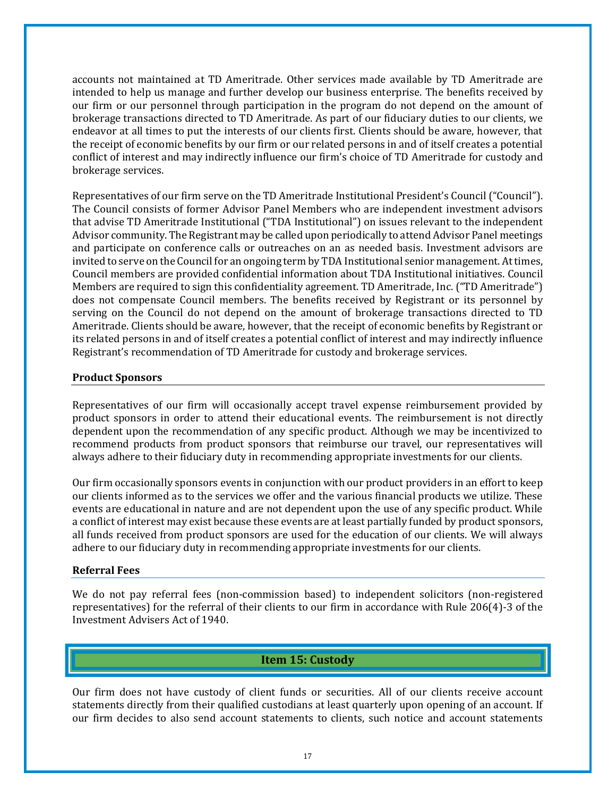accounts not maintained at TD Ameritrade. Other services made available by TD Ameritrade are intended to help us manage and further develop our business enterprise. The benefits received by our firm or our personnel through participation in the program do not depend on the amount of brokerage transactions directed to TD Ameritrade. As part of our fiduciary duties to our clients, we endeavor at all times to put the interests of our clients first. Clients should be aware, however, that the receipt of economic benefits by our firm or our related persons in and of itself creates a potential conflict of interest and may indirectly influence our firm's choice of TD Ameritrade for custody and brokerage services.

Representatives of our firm serve on the TD Ameritrade Institutional President's Council ("Council"). The Council consists of former Advisor Panel Members who are independent investment advisors that advise TD Ameritrade Institutional ("TDA Institutional") on issues relevant to the independent Advisor community. The Registrant may be called upon periodically to attend Advisor Panel meetings and participate on conference calls or outreaches on an as needed basis. Investment advisors are invited to serve on the Council for an ongoing term by TDA Institutional senior management. At times, Council members are provided confidential information about TDA Institutional initiatives. Council Members are required to sign this confidentiality agreement. TD Ameritrade, Inc. ("TD Ameritrade") does not compensate Council members. The benefits received by Registrant or its personnel by serving on the Council do not depend on the amount of brokerage transactions directed to TD Ameritrade. Clients should be aware, however, that the receipt of economic benefits by Registrant or its related persons in and of itself creates a potential conflict of interest and may indirectly influence Registrant's recommendation of TD Ameritrade for custody and brokerage services.

#### **Product Sponsors**

Representatives of our firm will occasionally accept travel expense reimbursement provided by product sponsors in order to attend their educational events. The reimbursement is not directly dependent upon the recommendation of any specific product. Although we may be incentivized to recommend products from product sponsors that reimburse our travel, our representatives will always adhere to their fiduciary duty in recommending appropriate investments for our clients.

Our firm occasionally sponsors events in conjunction with our product providers in an effort to keep our clients informed as to the services we offer and the various financial products we utilize. These events are educational in nature and are not dependent upon the use of any specific product. While a conflict of interest may exist because these events are at least partially funded by product sponsors, all funds received from product sponsors are used for the education of our clients. We will always adhere to our fiduciary duty in recommending appropriate investments for our clients.

#### **Referral Fees**

We do not pay referral fees (non-commission based) to independent solicitors (non-registered representatives) for the referral of their clients to our firm in accordance with Rule 206(4)-3 of the Investment Advisers Act of 1940.

### **Item 15: Custody**

<span id="page-16-0"></span>Our firm does not have custody of client funds or securities. All of our clients receive account statements directly from their qualified custodians at least quarterly upon opening of an account. If our firm decides to also send account statements to clients, such notice and account statements